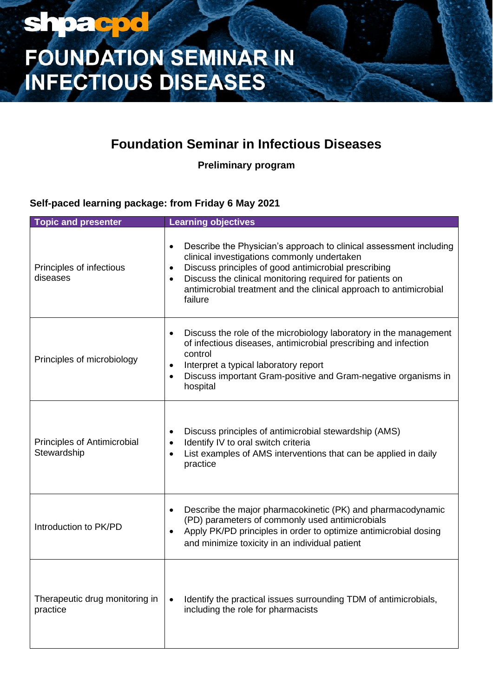### **shpacpd**

# **FOUNDATION SEMINAR IN<br>INFECTIOUS DISEASES**

### **Foundation Seminar in Infectious Diseases**

**Preliminary program**

#### **Self-paced learning package: from Friday 6 May 2021**

| <b>Topic and presenter</b>                 | <b>Learning objectives</b>                                                                                                                                                                                                                                                                                                                                    |
|--------------------------------------------|---------------------------------------------------------------------------------------------------------------------------------------------------------------------------------------------------------------------------------------------------------------------------------------------------------------------------------------------------------------|
| Principles of infectious<br>diseases       | Describe the Physician's approach to clinical assessment including<br>$\bullet$<br>clinical investigations commonly undertaken<br>Discuss principles of good antimicrobial prescribing<br>$\bullet$<br>Discuss the clinical monitoring required for patients on<br>$\bullet$<br>antimicrobial treatment and the clinical approach to antimicrobial<br>failure |
| Principles of microbiology                 | Discuss the role of the microbiology laboratory in the management<br>$\bullet$<br>of infectious diseases, antimicrobial prescribing and infection<br>control<br>Interpret a typical laboratory report<br>$\bullet$<br>Discuss important Gram-positive and Gram-negative organisms in<br>$\bullet$<br>hospital                                                 |
| Principles of Antimicrobial<br>Stewardship | Discuss principles of antimicrobial stewardship (AMS)<br>$\bullet$<br>Identify IV to oral switch criteria<br>$\bullet$<br>List examples of AMS interventions that can be applied in daily<br>$\bullet$<br>practice                                                                                                                                            |
| Introduction to PK/PD                      | Describe the major pharmacokinetic (PK) and pharmacodynamic<br>$\bullet$<br>(PD) parameters of commonly used antimicrobials<br>Apply PK/PD principles in order to optimize antimicrobial dosing<br>$\bullet$<br>and minimize toxicity in an individual patient                                                                                                |
| Therapeutic drug monitoring in<br>practice | Identify the practical issues surrounding TDM of antimicrobials,<br>$\bullet$<br>including the role for pharmacists                                                                                                                                                                                                                                           |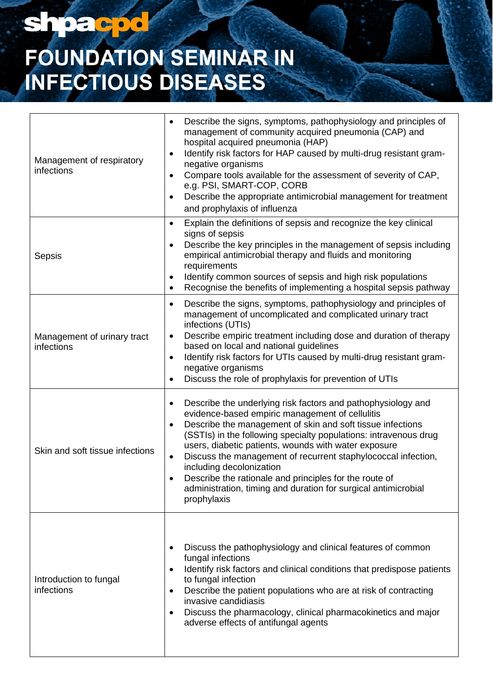## shpacpo

# **FOUNDATION SEMINAR IN<br>INFECTIOUS DISEASES**

| Management of respiratory<br>infections   | Describe the signs, symptoms, pathophysiology and principles of<br>$\bullet$<br>management of community acquired pneumonia (CAP) and<br>hospital acquired pneumonia (HAP)<br>Identify risk factors for HAP caused by multi-drug resistant gram-<br>$\bullet$<br>negative organisms<br>Compare tools available for the assessment of severity of CAP,<br>$\bullet$<br>e.g. PSI, SMART-COP, CORB<br>Describe the appropriate antimicrobial management for treatment<br>and prophylaxis of influenza                                                                           |
|-------------------------------------------|-----------------------------------------------------------------------------------------------------------------------------------------------------------------------------------------------------------------------------------------------------------------------------------------------------------------------------------------------------------------------------------------------------------------------------------------------------------------------------------------------------------------------------------------------------------------------------|
| Sepsis                                    | Explain the definitions of sepsis and recognize the key clinical<br>$\bullet$<br>signs of sepsis<br>Describe the key principles in the management of sepsis including<br>empirical antimicrobial therapy and fluids and monitoring<br>requirements<br>Identify common sources of sepsis and high risk populations<br>Recognise the benefits of implementing a hospital sepsis pathway<br>$\bullet$                                                                                                                                                                          |
| Management of urinary tract<br>infections | Describe the signs, symptoms, pathophysiology and principles of<br>$\bullet$<br>management of uncomplicated and complicated urinary tract<br>infections (UTIs)<br>Describe empiric treatment including dose and duration of therapy<br>based on local and national guidelines<br>Identify risk factors for UTIs caused by multi-drug resistant gram-<br>$\bullet$<br>negative organisms<br>Discuss the role of prophylaxis for prevention of UTIs                                                                                                                           |
| Skin and soft tissue infections           | Describe the underlying risk factors and pathophysiology and<br>$\bullet$<br>evidence-based empiric management of cellulitis<br>Describe the management of skin and soft tissue infections<br>(SSTIs) in the following specialty populations: intravenous drug<br>users, diabetic patients, wounds with water exposure<br>Discuss the management of recurrent staphylococcal infection,<br>$\bullet$<br>including decolonization<br>Describe the rationale and principles for the route of<br>administration, timing and duration for surgical antimicrobial<br>prophylaxis |
| Introduction to fungal<br>infections      | Discuss the pathophysiology and clinical features of common<br>fungal infections<br>Identify risk factors and clinical conditions that predispose patients<br>$\bullet$<br>to fungal infection<br>Describe the patient populations who are at risk of contracting<br>$\bullet$<br>invasive candidiasis<br>Discuss the pharmacology, clinical pharmacokinetics and major<br>adverse effects of antifungal agents                                                                                                                                                             |